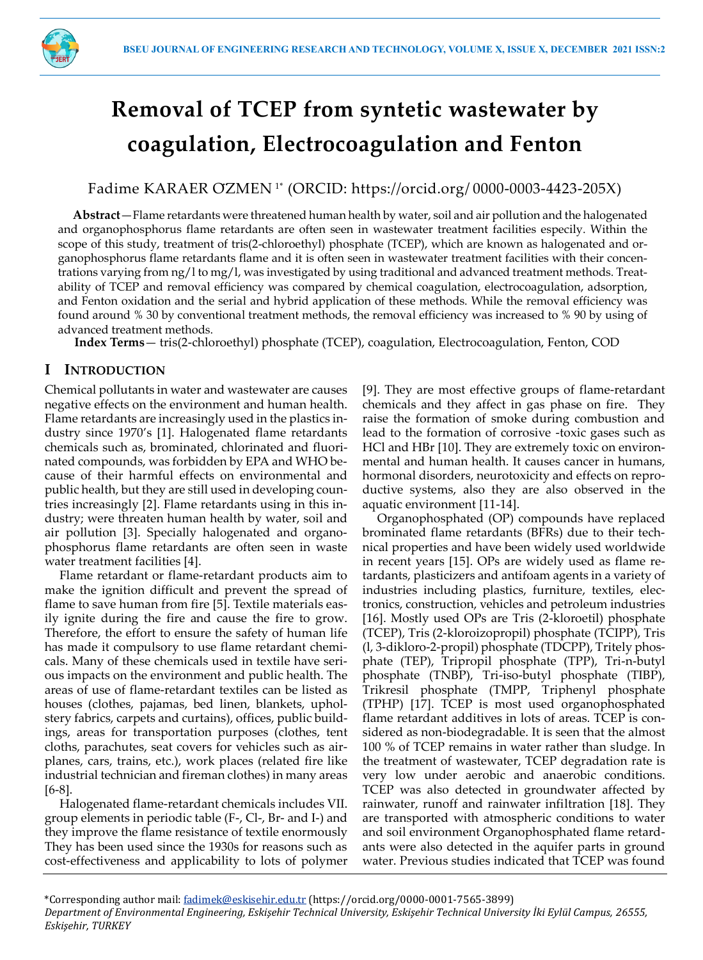

# **Removal of TCEP from syntetic wastewater by coagulation, Electrocoagulation and Fenton**

Fadime KARAER ÖZMEN 1\* (ORCID: https://orcid.org/ 0000-0003-4423-205X)

**Abstract**—Flame retardants were threatened human health by water, soil and air pollution and the halogenated and organophosphorus flame retardants are often seen in wastewater treatment facilities especily. Within the scope of this study, treatment of tris(2-chloroethyl) phosphate (TCEP), which are known as halogenated and organophosphorus flame retardants flame and it is often seen in wastewater treatment facilities with their concentrations varying from ng/l to mg/l, was investigated by using traditional and advanced treatment methods. Treatability of TCEP and removal efficiency was compared by chemical coagulation, electrocoagulation, adsorption, and Fenton oxidation and the serial and hybrid application of these methods. While the removal efficiency was found around % 30 by conventional treatment methods, the removal efficiency was increased to % 90 by using of advanced treatment methods.

**Index Terms**— tris(2-chloroethyl) phosphate (TCEP), coagulation, Electrocoagulation, Fenton, COD

# **I INTRODUCTION**

Chemical pollutants in water and wastewater are causes negative effects on the environment and human health. Flame retardants are increasingly used in the plastics industry since 1970's [1]. Halogenated flame retardants chemicals such as, brominated, chlorinated and fluorinated compounds, was forbidden by EPA and WHO because of their harmful effects on environmental and public health, but they are still used in developing countries increasingly [2]. Flame retardants using in this industry; were threaten human health by water, soil and air pollution [3]. Specially halogenated and organophosphorus flame retardants are often seen in waste water treatment facilities [4].

Flame retardant or flame-retardant products aim to make the ignition difficult and prevent the spread of flame to save human from fire [5]. Textile materials easily ignite during the fire and cause the fire to grow. Therefore, the effort to ensure the safety of human life has made it compulsory to use flame retardant chemicals. Many of these chemicals used in textile have serious impacts on the environment and public health. The areas of use of flame-retardant textiles can be listed as houses (clothes, pajamas, bed linen, blankets, upholstery fabrics, carpets and curtains), offices, public buildings, areas for transportation purposes (clothes, tent cloths, parachutes, seat covers for vehicles such as airplanes, cars, trains, etc.), work places (related fire like industrial technician and fireman clothes) in many areas [6-8].

Halogenated flame-retardant chemicals includes VII. group elements in periodic table (F-, Cl-, Br- and I-) and they improve the flame resistance of textile enormously They has been used since the 1930s for reasons such as cost-effectiveness and applicability to lots of polymer

[9]. They are most effective groups of flame-retardant chemicals and they affect in gas phase on fire. They raise the formation of smoke during combustion and lead to the formation of corrosive -toxic gases such as HCl and HBr [10]. They are extremely toxic on environmental and human health. It causes cancer in humans, hormonal disorders, neurotoxicity and effects on reproductive systems, also they are also observed in the aquatic environment [11-14].

Organophosphated (OP) compounds have replaced brominated flame retardants (BFRs) due to their technical properties and have been widely used worldwide in recent years [15]. OPs are widely used as flame retardants, plasticizers and antifoam agents in a variety of industries including plastics, furniture, textiles, electronics, construction, vehicles and petroleum industries [16]. Mostly used OPs are Tris (2-kloroetil) phosphate (TCEP), Tris (2-kloroizopropil) phosphate (TCIPP), Tris (l, 3-dikloro-2-propil) phosphate (TDCPP), Tritely phosphate (TEP), Tripropil phosphate (TPP), Tri-n-butyl phosphate (TNBP), Tri-iso-butyl phosphate (TIBP), Trikresil phosphate (TMPP, Triphenyl phosphate (TPHP) [17]. TCEP is most used organophosphated flame retardant additives in lots of areas. TCEP is considered as non-biodegradable. It is seen that the almost 100 % of TCEP remains in water rather than sludge. In the treatment of wastewater, TCEP degradation rate is very low under aerobic and anaerobic conditions. TCEP was also detected in groundwater affected by rainwater, runoff and rainwater infiltration [18]. They are transported with atmospheric conditions to water and soil environment Organophosphated flame retardants were also detected in the aquifer parts in ground water. Previous studies indicated that TCEP was found

<sup>\*</sup>Corresponding author mail[: fadimek@eskisehir.edu.tr](mailto:fadimek@eskisehir.edu.tr) (https://orcid.org/0000-0001-7565-3899) Department of Environmental Engineering, Eskişehir Technical University, Eskişehir Technical University İki Eylül Campus, 26555, *Eskişehir, TURKEY*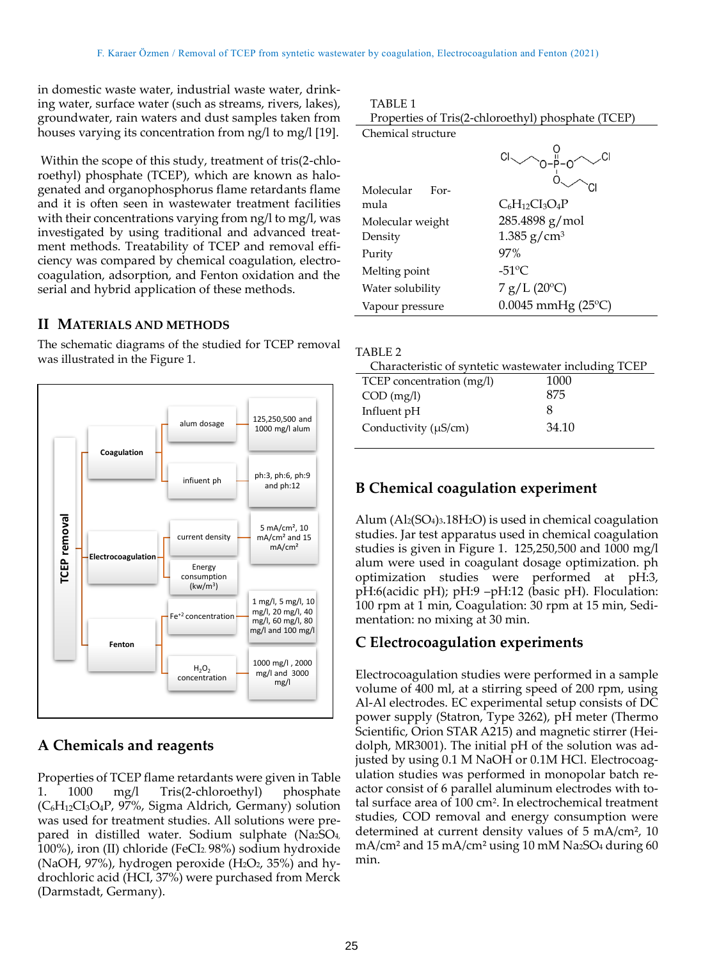in domestic waste water, industrial waste water, drinking water, surface water (such as streams, rivers, lakes), groundwater, rain waters and dust samples taken from houses varying its concentration from ng/l to mg/l [19].

Within the scope of this study, treatment of tris(2-chloroethyl) phosphate (TCEP), which are known as halogenated and organophosphorus flame retardants flame and it is often seen in wastewater treatment facilities with their concentrations varying from ng/l to mg/l, was investigated by using traditional and advanced treatment methods. Treatability of TCEP and removal efficiency was compared by chemical coagulation, electrocoagulation, adsorption, and Fenton oxidation and the serial and hybrid application of these methods.

#### **II MATERIALS AND METHODS**

The schematic diagrams of the studied for TCEP removal was illustrated in the Figure 1.



# **A Chemicals and reagents**

Properties of TCEP flame retardants were given in Table 1. 1000 mg/l Tris(2-chloroethyl) phosphate (C6H12CI3O4P, 97%, Sigma Aldrich, Germany) solution was used for treatment studies. All solutions were prepared in distilled water. Sodium sulphate (Na2SO4, 100%), iron (II) chloride (FeCI2. 98%) sodium hydroxide (NaOH, 97%), hydrogen peroxide  $(H_2O_2, 35%)$  and hydrochloric acid (HCI, 37%) were purchased from Merck (Darmstadt, Germany).

| Properties of Tris(2-chloroethyl) phosphate (TCEP) |  |  |
|----------------------------------------------------|--|--|
| Chemical structure                                 |  |  |
|                                                    |  |  |

|                           | $\sim$                |
|---------------------------|-----------------------|
| Molecular<br>For-<br>mula | $C_6H_{12}Cl_3O_4P$   |
| Molecular weight          | 285.4898 g/mol        |
| Density                   | 1.385 $g/cm^3$        |
| Purity                    | 97%                   |
| Melting point             | $-51^{\circ}$ C       |
| Water solubility          | $7 g/L (20^{\circ}C)$ |
| Vapour pressure           | $0.0045$ mmHg (25°C)  |

| Characteristic of syntetic wastewater including TCEP |  |  |
|------------------------------------------------------|--|--|
| 1000                                                 |  |  |
| 875                                                  |  |  |
| 8                                                    |  |  |
| 34.10                                                |  |  |
|                                                      |  |  |

# **B Chemical coagulation experiment**

Alum (Al2(SO4)3.18H2O) is used in chemical coagulation studies. Jar test apparatus used in chemical coagulation studies is given in Figure 1. 125,250,500 and 1000 mg/l alum were used in coagulant dosage optimization. ph optimization studies were performed at pH:3, pH:6(acidic pH); pH:9 –pH:12 (basic pH). Floculation: 100 rpm at 1 min, Coagulation: 30 rpm at 15 min, Sedimentation: no mixing at 30 min.

#### **C Electrocoagulation experiments**

Electrocoagulation studies were performed in a sample volume of 400 ml, at a stirring speed of 200 rpm, using Al-Al electrodes. EC experimental setup consists of DC power supply (Statron, Type 3262), pH meter (Thermo Scientific, Orion STAR A215) and magnetic stirrer (Heidolph, MR3001). The initial pH of the solution was adjusted by using 0.1 M NaOH or 0.1M HCl. Electrocoagulation studies was performed in monopolar batch reactor consist of 6 parallel aluminum electrodes with total surface area of 100 cm<sup>2</sup> . In electrochemical treatment studies, COD removal and energy consumption were determined at current density values of 5 mA/cm², 10 mA/cm<sup>2</sup> and 15 mA/cm<sup>2</sup> using 10 mM Na<sub>2</sub>SO<sub>4</sub> during 60 min.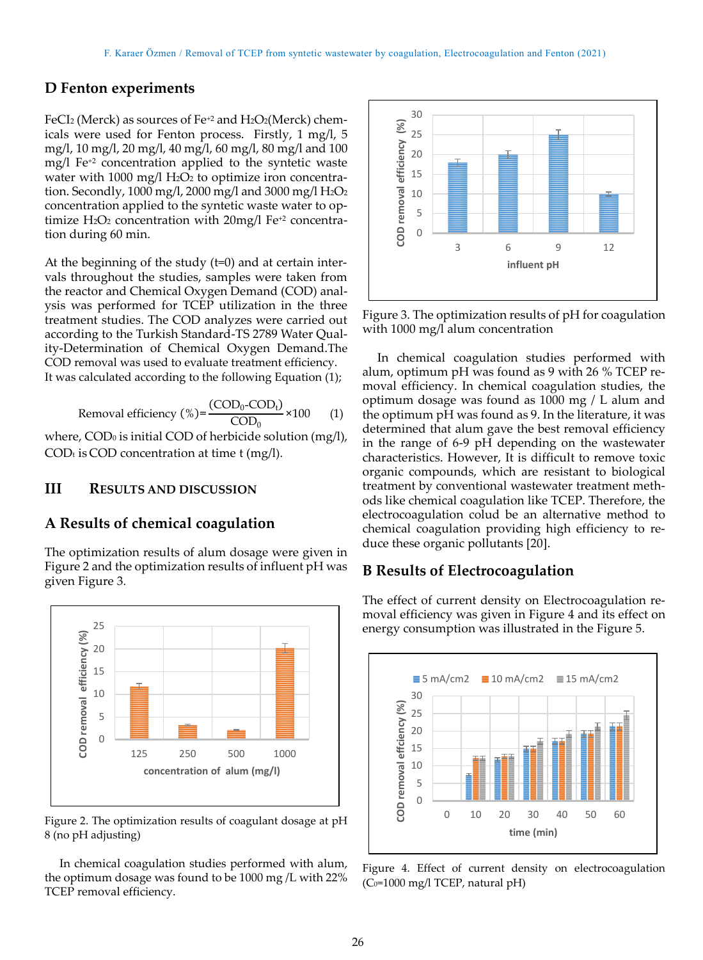#### **D Fenton experiments**

FeCI<sub>2</sub> (Merck) as sources of Fe<sup>+2</sup> and H<sub>2</sub>O<sub>2</sub>(Merck) chemicals were used for Fenton process. Firstly, 1 mg/l, 5 mg/l, 10 mg/l, 20 mg/l, 40 mg/l, 60 mg/l, 80 mg/l and 100 mg/l Fe+2 concentration applied to the syntetic waste water with 1000 mg/l  $H_2O_2$  to optimize iron concentration. Secondly, 1000 mg/l, 2000 mg/l and 3000 mg/l H<sub>2</sub>O<sub>2</sub> concentration applied to the syntetic waste water to optimize  $H_2O_2$  concentration with  $20$ mg/l Fe<sup>+2</sup> concentration during 60 min.

At the beginning of the study (t=0) and at certain intervals throughout the studies, samples were taken from the reactor and Chemical Oxygen Demand (COD) analysis was performed for TCEP utilization in the three treatment studies. The COD analyzes were carried out according to the Turkish Standard-TS 2789 Water Quality-Determination of Chemical Oxygen Demand.The COD removal was used to evaluate treatment efficiency. It was calculated according to the following Equation (1);

Removal efficiency (%) = 
$$
\frac{\text{(COD}_0\text{-COD}_t)}{\text{COD}_0} \times 100
$$
 (1)

where, COD<sub>0</sub> is initial COD of herbicide solution (mg/l),  $COD<sub>t</sub>$  is COD concentration at time t (mg/l).

#### **III RESULTS AND DISCUSSION**

#### **A Results of chemical coagulation**

The optimization results of alum dosage were given in Figure 2 and the optimization results of influent pH was given Figure 3.



Figure 2. The optimization results of coagulant dosage at pH 8 (no pH adjusting)

In chemical coagulation studies performed with alum, the optimum dosage was found to be 1000 mg /L with 22% TCEP removal efficiency.



Figure 3. The optimization results of pH for coagulation with 1000 mg/l alum concentration

In chemical coagulation studies performed with alum, optimum pH was found as 9 with 26 % TCEP removal efficiency. In chemical coagulation studies, the optimum dosage was found as 1000 mg / L alum and the optimum pH was found as 9. In the literature, it was determined that alum gave the best removal efficiency in the range of 6-9 pH depending on the wastewater characteristics. However, It is difficult to remove toxic organic compounds, which are resistant to biological treatment by conventional wastewater treatment methods like chemical coagulation like TCEP. Therefore, the electrocoagulation colud be an alternative method to chemical coagulation providing high efficiency to reduce these organic pollutants [20].

#### **B Results of Electrocoagulation**

The effect of current density on Electrocoagulation removal efficiency was given in Figure 4 and its effect on energy consumption was illustrated in the Figure 5.



Figure 4. Effect of current density on electrocoagulation (C<sub>0</sub>=1000 mg/l TCEP, natural pH)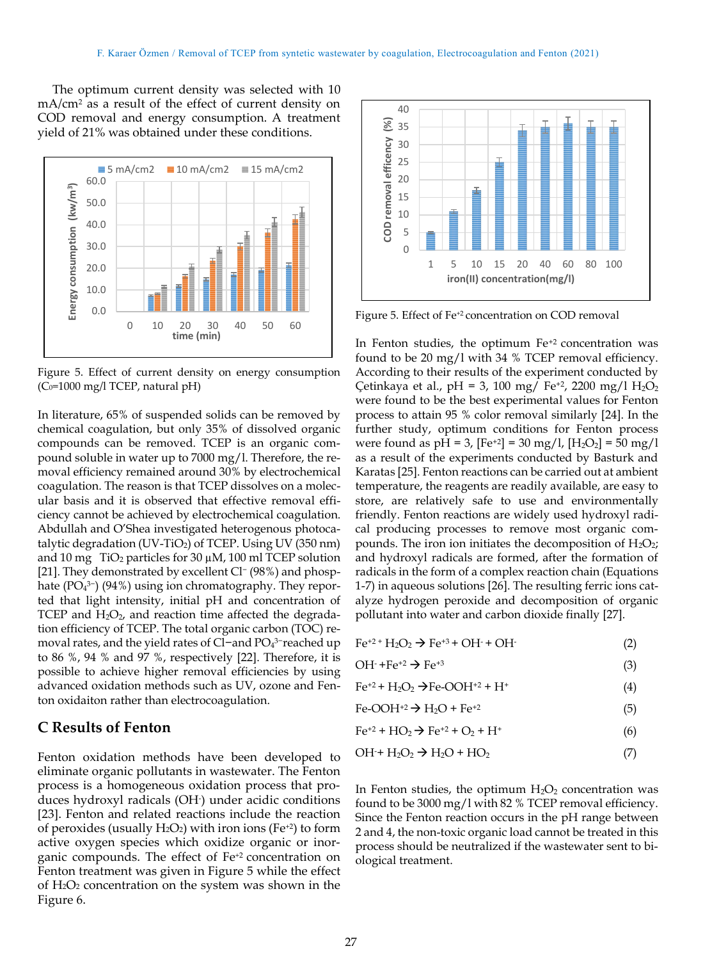The optimum current density was selected with 10 mA/cm<sup>2</sup> as a result of the effect of current density on COD removal and energy consumption. A treatment yield of 21% was obtained under these conditions.



Figure 5. Effect of current density on energy consumption  $(C_0=1000 \text{ mg/l}$  TCEP, natural pH)

In literature, 65% of suspended solids can be removed by chemical coagulation, but only 35% of dissolved organic compounds can be removed. TCEP is an organic compound soluble in water up to 7000 mg/l. Therefore, the removal efficiency remained around 30% by electrochemical coagulation. The reason is that TCEP dissolves on a molecular basis and it is observed that effective removal efficiency cannot be achieved by electrochemical coagulation. Abdullah and O'Shea investigated heterogenous photocatalytic degradation  $(UV-TiO<sub>2</sub>)$  of TCEP. Using UV (350 nm) and 10 mg  $TiO<sub>2</sub>$  particles for 30  $\mu$ M, 100 ml TCEP solution [21]. They demonstrated by excellent Cl<sup>-</sup> (98%) and phosphate (PO<sub>4</sub><sup>3−</sup>) (94%) using ion chromatography. They reported that light intensity, initial pH and concentration of TCEP and  $H_2O_2$ , and reaction time affected the degradation efficiency of TCEP. The total organic carbon (TOC) removal rates, and the yield rates of Cl−and PO<sup>4</sup> 3−reached up to 86 %, 94 % and 97 %, respectively [22]. Therefore, it is possible to achieve higher removal efficiencies by using advanced oxidation methods such as UV, ozone and Fenton oxidaiton rather than electrocoagulation.

# **C Results of Fenton**

Fenton oxidation methods have been developed to eliminate organic pollutants in wastewater. The Fenton process is a homogeneous oxidation process that produces hydroxyl radicals (OH- ) under acidic conditions [23]. Fenton and related reactions include the reaction of peroxides (usually  $H_2O_2$ ) with iron ions (Fe<sup>+2</sup>) to form active oxygen species which oxidize organic or inorganic compounds. The effect of Fe+2 concentration on Fenton treatment was given in Figure 5 while the effect of H2O<sup>2</sup> concentration on the system was shown in the Figure 6.



Figure 5. Effect of Fe<sup>+2</sup> concentration on COD removal

In Fenton studies, the optimum Fe<sup>+2</sup> concentration was found to be 20 mg/l with 34 % TCEP removal efficiency. According to their results of the experiment conducted by Çetinkaya et al., pH = 3, 100 mg/ Fe<sup>+2</sup>, 2200 mg/l H<sub>2</sub>O<sub>2</sub> were found to be the best experimental values for Fenton process to attain 95 % color removal similarly [24]. In the further study, optimum conditions for Fenton process were found as  $pH = 3$ ,  $[Fe^{+2}] = 30$  mg/l,  $[H_2O_2] = 50$  mg/l as a result of the experiments conducted by Basturk and Karatas [25]. Fenton reactions can be carried out at ambient temperature, the reagents are readily available, are easy to store, are relatively safe to use and environmentally friendly. Fenton reactions are widely used hydroxyl radical producing processes to remove most organic compounds. The iron ion initiates the decomposition of  $H_2O_2$ ; and hydroxyl radicals are formed, after the formation of radicals in the form of a complex reaction chain (Equations 1-7) in aqueous solutions [26]. The resulting ferric ions catalyze hydrogen peroxide and decomposition of organic pollutant into water and carbon dioxide finally [27].

 $Fe^{+2+}H_2O_2 \rightarrow Fe^{+3} + OH^- + OH^-$ (2)

$$
\text{OH}^{\cdot} + \text{Fe}^{\cdot} \rightarrow \text{Fe}^{\cdot}^{3} \tag{3}
$$

- $Fe^{+2} + H_2O_2 \rightarrow Fe-OOH^{+2} + H^+$  (4)
- $Fe-OOH^{+2} \rightarrow H_2O + Fe^{+2}$  (5)
- $Fe^{+2} + HO_2 \rightarrow Fe^{+2} + O_2 + H^+$  (6)
- $OH + H_2O_2 \rightarrow H_2O + HO_2$  (7)

In Fenton studies, the optimum  $H_2O_2$  concentration was found to be 3000 mg/l with 82 % TCEP removal efficiency. Since the Fenton reaction occurs in the pH range between 2 and 4, the non-toxic organic load cannot be treated in this process should be neutralized if the wastewater sent to biological treatment.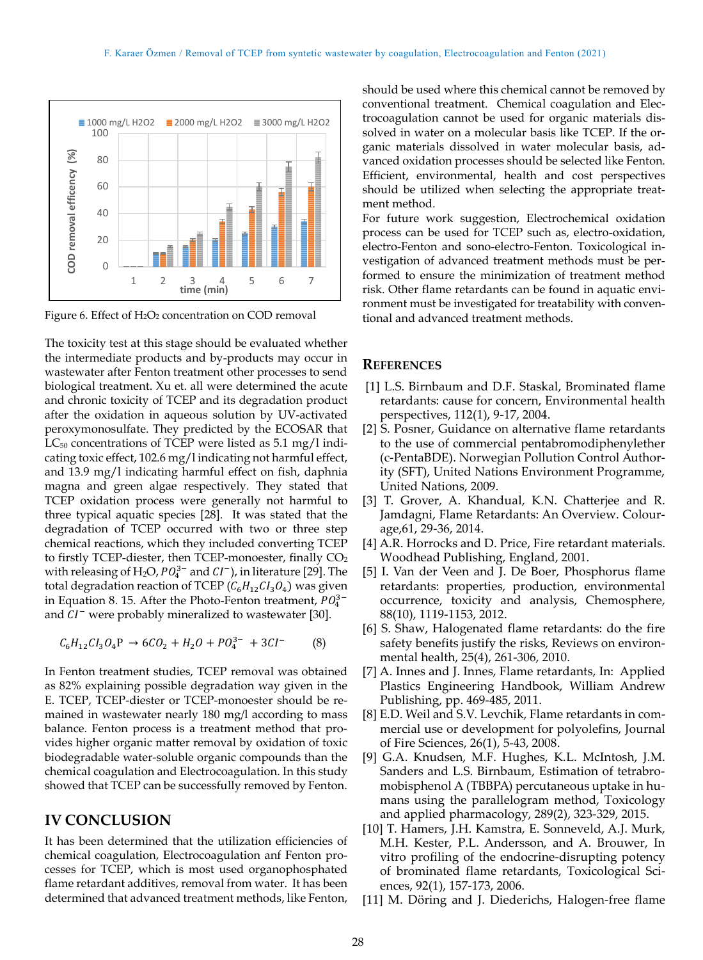

Figure 6. Effect of H<sub>2</sub>O<sub>2</sub> concentration on COD removal

The toxicity test at this stage should be evaluated whether the intermediate products and by-products may occur in wastewater after Fenton treatment other processes to send biological treatment. Xu et. all were determined the acute and chronic toxicity of TCEP and its degradation product after the oxidation in aqueous solution by UV-activated peroxymonosulfate. They predicted by the ECOSAR that  $LC_{50}$  concentrations of TCEP were listed as 5.1 mg/l indicating toxic effect, 102.6 mg/l indicating not harmful effect, and 13.9 mg/l indicating harmful effect on fish, daphnia magna and green algae respectively. They stated that TCEP oxidation process were generally not harmful to three typical aquatic species [28]. It was stated that the degradation of TCEP occurred with two or three step chemical reactions, which they included converting TCEP to firstly TCEP-diester, then TCEP-monoester, finally CO<sub>2</sub> with releasing of H<sub>2</sub>O,  $PO_4^{3-}$  and  $CI^-$ ), in literature [29]. The total degradation reaction of TCEP ( $C_6H_{12}Cl_3O_4$ ) was given in Equation 8. 15. After the Photo-Fenton treatment,  $PO_4^{3-}$ and  $CI^-$  were probably mineralized to wastewater [30].

$$
C_6H_{12}Cl_3O_4P \rightarrow 6CO_2 + H_2O + PO_4^{3-} + 3Cl^-
$$
 (8)

In Fenton treatment studies, TCEP removal was obtained as 82% explaining possible degradation way given in the E. TCEP, TCEP-diester or TCEP-monoester should be remained in wastewater nearly 180 mg/l according to mass balance. Fenton process is a treatment method that provides higher organic matter removal by oxidation of toxic biodegradable water-soluble organic compounds than the chemical coagulation and Electrocoagulation. In this study showed that TCEP can be successfully removed by Fenton.

#### **IV CONCLUSION**

It has been determined that the utilization efficiencies of chemical coagulation, Electrocoagulation anf Fenton processes for TCEP, which is most used organophosphated flame retardant additives, removal from water. It has been determined that advanced treatment methods, like Fenton,

should be used where this chemical cannot be removed by conventional treatment. Chemical coagulation and Electrocoagulation cannot be used for organic materials dissolved in water on a molecular basis like TCEP. If the organic materials dissolved in water molecular basis, advanced oxidation processes should be selected like Fenton. Efficient, environmental, health and cost perspectives should be utilized when selecting the appropriate treatment method.

For future work suggestion, Electrochemical oxidation process can be used for TCEP such as, electro-oxidation, electro-Fenton and sono-electro-Fenton. Toxicological investigation of advanced treatment methods must be performed to ensure the minimization of treatment method risk. Other flame retardants can be found in aquatic environment must be investigated for treatability with conventional and advanced treatment methods.

#### **REFERENCES**

- [1] L.S. Birnbaum and D.F. Staskal, Brominated flame retardants: cause for concern, Environmental health perspectives, 112(1), 9-17, 2004.
- [2] S. Posner, Guidance on alternative flame retardants to the use of commercial pentabromodiphenylether (c-PentaBDE). Norwegian Pollution Control Authority (SFT), United Nations Environment Programme, United Nations, 2009.
- [3] T. Grover, A. Khandual, K.N. Chatterjee and R. Jamdagni, Flame Retardants: An Overview. Colourage,61, 29-36, 2014.
- [4] A.R. Horrocks and D. Price, Fire retardant materials. Woodhead Publishing, England, 2001.
- [5] I. Van der Veen and J. De Boer, Phosphorus flame retardants: properties, production, environmental occurrence, toxicity and analysis, Chemosphere, 88(10), 1119-1153, 2012.
- [6] S. Shaw, Halogenated flame retardants: do the fire safety benefits justify the risks, Reviews on environmental health, 25(4), 261-306, 2010.
- [7] A. Innes and J. Innes, Flame retardants, In: Applied Plastics Engineering Handbook, William Andrew Publishing, pp. 469-485, 2011.
- [8] E.D. Weil and S.V. Levchik, Flame retardants in commercial use or development for polyolefins, Journal of Fire Sciences, 26(1), 5-43, 2008.
- [9] G.A. Knudsen, M.F. Hughes, K.L. McIntosh, J.M. Sanders and L.S. Birnbaum, Estimation of tetrabromobisphenol A (TBBPA) percutaneous uptake in humans using the parallelogram method, Toxicology and applied pharmacology, 289(2), 323-329, 2015.
- [10] T. Hamers, J.H. Kamstra, E. Sonneveld, A.J. Murk, M.H. Kester, P.L. Andersson, and A. Brouwer, In vitro profiling of the endocrine-disrupting potency of brominated flame retardants, Toxicological Sciences, 92(1), 157-173, 2006.
- [11] M. Döring and J. Diederichs, Halogen-free flame